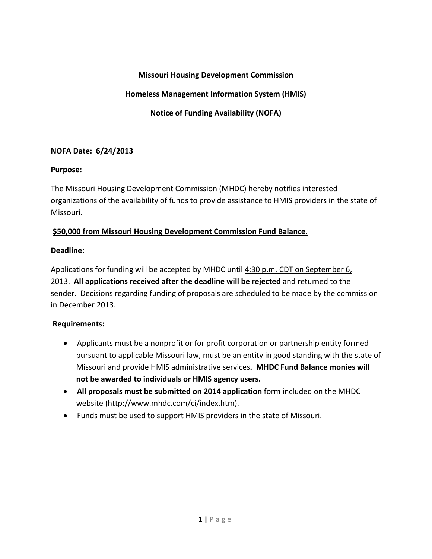## **Missouri Housing Development Commission**

## **Homeless Management Information System (HMIS)**

**Notice of Funding Availability (NOFA)**

### **NOFA Date: 6/24/2013**

#### **Purpose:**

The Missouri Housing Development Commission (MHDC) hereby notifies interested organizations of the availability of funds to provide assistance to HMIS providers in the state of Missouri.

### **\$50,000 from Missouri Housing Development Commission Fund Balance.**

### **Deadline:**

Applications for funding will be accepted by MHDC until 4:30 p.m. CDT on September 6, 2013. **All applications received after the deadline will be rejected** and returned to the sender. Decisions regarding funding of proposals are scheduled to be made by the commission in December 2013.

## **Requirements:**

- Applicants must be a nonprofit or for profit corporation or partnership entity formed pursuant to applicable Missouri law, must be an entity in good standing with the state of Missouri and provide HMIS administrative services**. MHDC Fund Balance monies will not be awarded to individuals or HMIS agency users.**
- **All proposals must be submitted on 2014 application** form included on the MHDC website (http://www.mhdc.com/ci/index.htm).
- Funds must be used to support HMIS providers in the state of Missouri.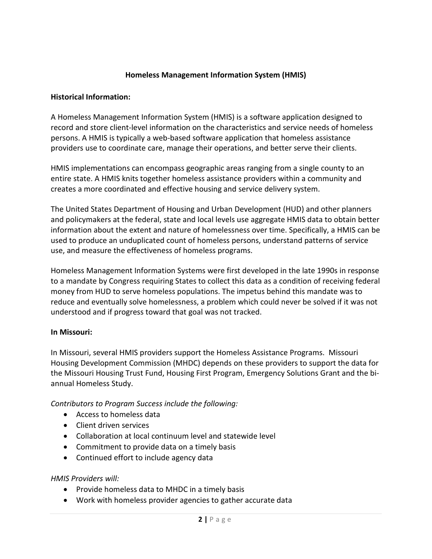## **Homeless Management Information System (HMIS)**

#### **Historical Information:**

A Homeless Management Information System (HMIS) is a [software application](http://en.wikipedia.org/wiki/Software_application) designed to record and store client-level information on the characteristics and service needs of homeless persons. A HMIS is typically a [web-based](http://en.wikipedia.org/wiki/Web-based) software application that [homeless assistance](http://en.wikipedia.org/w/index.php?title=Homeless_assistance&action=edit&redlink=1) providers use to coordinate care, manage their operations, and better serve their clients.

HMIS implementations can encompass [geographic areas](http://en.wikipedia.org/wiki/Geographic_area) ranging from a single county to an entire state. A HMIS knits together homeless assistance providers within a community and creates a more coordinated and effective [housing](http://en.wikipedia.org/wiki/House) and [service delivery](http://en.wikipedia.org/w/index.php?title=Service_delivery&action=edit&redlink=1) system.

The [United States Department of Housing and Urban Development](http://en.wikipedia.org/wiki/United_States_Department_of_Housing_and_Urban_Development) (HUD) and other planners and [policymakers](http://en.wikipedia.org/wiki/Policymaker) at the federal, state and local levels use aggregate HMIS data to obtain better information about the extent and nature of homelessness over time. Specifically, a HMIS can be used to produce an unduplicated count of homeless persons, understand patterns of service use, and measure the effectiveness of homeless programs.

Homeless Management Information Systems were first developed in the late 1990s in response to a [mandate](http://en.wikipedia.org/wiki/Mandate) by [Congress](http://en.wikipedia.org/wiki/United_States_Congress) requiring States to collect this data as a condition of receiving [federal](http://en.wikipedia.org/w/index.php?title=Federal_money&action=edit&redlink=1)  [money](http://en.wikipedia.org/w/index.php?title=Federal_money&action=edit&redlink=1) from [HUD](http://www.hud.gov/offices/cpd/homeless/hmis/) to serve homeless populations. The impetus behind this mandate was to reduce and eventually solve homelessness, a problem which could never be solved if it was not understood and if progress toward that goal was not tracked.

#### **In Missouri:**

In Missouri, several HMIS providers support the Homeless Assistance Programs. Missouri Housing Development Commission (MHDC) depends on these providers to support the data for the Missouri Housing Trust Fund, Housing First Program, Emergency Solutions Grant and the biannual Homeless Study.

*Contributors to Program Success include the following:*

- Access to homeless data
- Client driven services
- Collaboration at local continuum level and statewide level
- Commitment to provide data on a timely basis
- Continued effort to include agency data

#### *HMIS Providers will:*

- Provide homeless data to MHDC in a timely basis
- Work with homeless provider agencies to gather accurate data